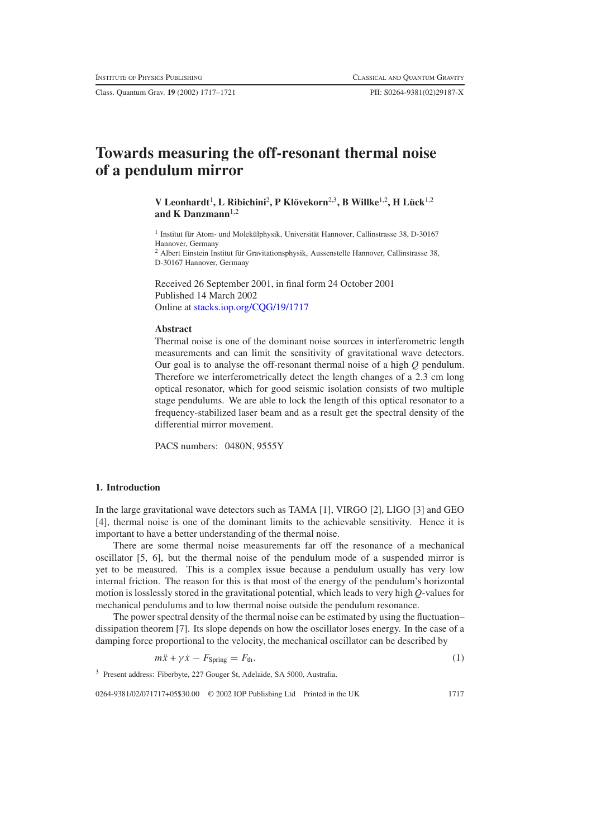Class. Quantum Grav. **19** (2002) 1717–1721 PII: S0264-9381(02)29187-X

# **Towards measuring the off-resonant thermal noise of a pendulum mirror**

 $V$  Leonhardt<sup>1</sup>, L Ribichini<sup>2</sup>, P Klövekorn<sup>2,3</sup>, B Willke<sup>1,2</sup>, H Lück<sup>1,2</sup> **and K Danzmann**1,2

<sup>1</sup> Institut für Atom- und Molekülphysik, Universität Hannover, Callinstrasse 38, D-30167 Hannover, Germany

 $2$  Albert Einstein Institut für Gravitationsphysik, Aussenstelle Hannover, Callinstrasse 38, D-30167 Hannover, Germany

Received 26 September 2001, in final form 24 October 2001 Published 14 March 2002 Online at [stacks.iop.org/CQG/19/1717](http://stacks.iop.org/cq/19/1717)

#### **Abstract**

Thermal noise is one of the dominant noise sources in interferometric length measurements and can limit the sensitivity of gravitational wave detectors. Our goal is to analyse the off-resonant thermal noise of a high *Q* pendulum. Therefore we interferometrically detect the length changes of a 2.3 cm long optical resonator, which for good seismic isolation consists of two multiple stage pendulums. We are able to lock the length of this optical resonator to a frequency-stabilized laser beam and as a result get the spectral density of the differential mirror movement.

PACS numbers: 0480N, 9555Y

## **1. Introduction**

In the large gravitational wave detectors such as TAMA [1], VIRGO [2], LIGO [3] and GEO [4], thermal noise is one of the dominant limits to the achievable sensitivity. Hence it is important to have a better understanding of the thermal noise.

There are some thermal noise measurements far off the resonance of a mechanical oscillator [5, 6], but the thermal noise of the pendulum mode of a suspended mirror is yet to be measured. This is a complex issue because a pendulum usually has very low internal friction. The reason for this is that most of the energy of the pendulum's horizontal motion is losslessly stored in the gravitational potential, which leads to very high *Q*-values for mechanical pendulums and to low thermal noise outside the pendulum resonance.

The power spectral density of the thermal noise can be estimated by using the fluctuation– dissipation theorem [7]. Its slope depends on how the oscillator loses energy. In the case of a damping force proportional to the velocity, the mechanical oscillator can be described by

$$
m\ddot{x} + \gamma \dot{x} - F_{\text{Spring}} = F_{\text{th}}.\tag{1}
$$

<sup>3</sup> Present address: Fiberbyte, 227 Gouger St, Adelaide, SA 5000, Australia.

0264-9381/02/071717+05\$30.00 © 2002 IOP Publishing Ltd Printed in the UK 1717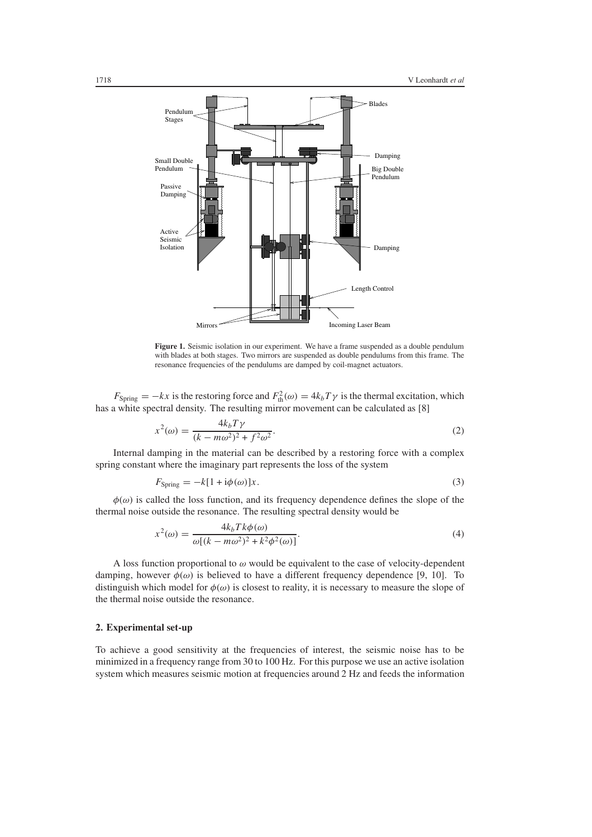

<span id="page-1-0"></span>**Figure 1.** Seismic isolation in our experiment. We have a frame suspended as a double pendulum with blades at both stages. Two mirrors are suspended as double pendulums from this frame. The resonance frequencies of the pendulums are damped by coil-magnet actuators.

 $F_{\text{Spring}} = -kx$  is the restoring force and  $F_{\text{th}}^2(\omega) = 4k_bT\gamma$  is the thermal excitation, which has a white spectral density. The resulting mirror movement can be calculated as [8]

$$
x^{2}(\omega) = \frac{4k_{b}T\gamma}{(k - m\omega^{2})^{2} + f^{2}\omega^{2}}.
$$
 (2)

Internal damping in the material can be described by a restoring force with a complex spring constant where the imaginary part represents the loss of the system

$$
F_{\text{Spring}} = -k[1 + \mathrm{i}\phi(\omega)]x. \tag{3}
$$

 $\phi(\omega)$  is called the loss function, and its frequency dependence defines the slope of the thermal noise outside the resonance. The resulting spectral density would be

$$
x^{2}(\omega) = \frac{4k_{b}Tk\phi(\omega)}{\omega[(k - m\omega^{2})^{2} + k^{2}\phi^{2}(\omega)]}.
$$
\n(4)

A loss function proportional to *ω* would be equivalent to the case of velocity-dependent damping, however  $\phi(\omega)$  is believed to have a different frequency dependence [9, 10]. To distinguish which model for  $\phi(\omega)$  is closest to reality, it is necessary to measure the slope of the thermal noise outside the resonance.

## **2. Experimental set-up**

To achieve a good sensitivity at the frequencies of interest, the seismic noise has to be minimized in a frequency range from 30 to 100 Hz. For this purpose we use an active isolation system which measures seismic motion at frequencies around 2 Hz and feeds the information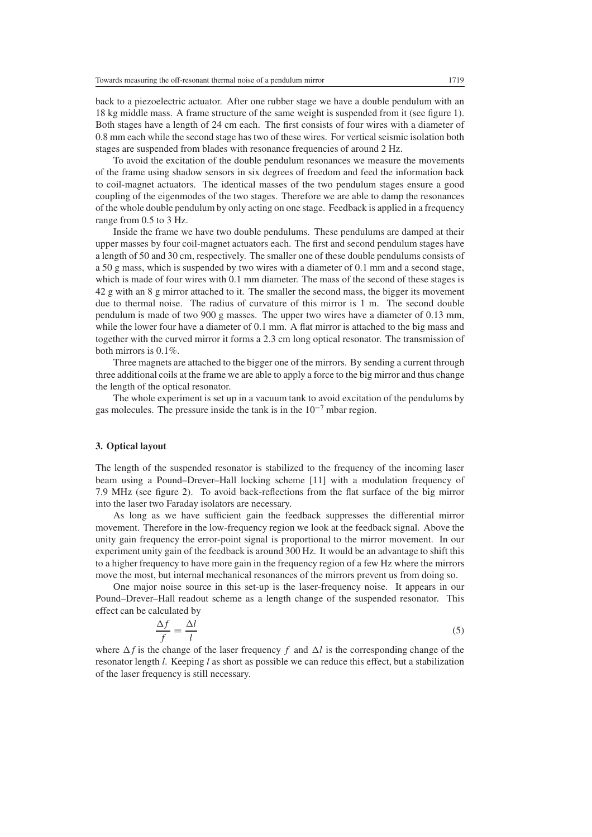back to a piezoelectric actuator. After one rubber stage we have a double pendulum with an 18 kg middle mass. A frame structure of the same weight is suspended from it (see figure [1\)](#page-1-0). Both stages have a length of 24 cm each. The first consists of four wires with a diameter of 0.8 mm each while the second stage has two of these wires. For vertical seismic isolation both stages are suspended from blades with resonance frequencies of around 2 Hz.

To avoid the excitation of the double pendulum resonances we measure the movements of the frame using shadow sensors in six degrees of freedom and feed the information back to coil-magnet actuators. The identical masses of the two pendulum stages ensure a good coupling of the eigenmodes of the two stages. Therefore we are able to damp the resonances of the whole double pendulum by only acting on one stage. Feedback is applied in a frequency range from 0.5 to 3 Hz.

Inside the frame we have two double pendulums. These pendulums are damped at their upper masses by four coil-magnet actuators each. The first and second pendulum stages have a length of 50 and 30 cm, respectively. The smaller one of these double pendulums consists of a 50 g mass, which is suspended by two wires with a diameter of 0.1 mm and a second stage, which is made of four wires with 0.1 mm diameter. The mass of the second of these stages is 42 g with an 8 g mirror attached to it. The smaller the second mass, the bigger its movement due to thermal noise. The radius of curvature of this mirror is 1 m. The second double pendulum is made of two 900 g masses. The upper two wires have a diameter of 0.13 mm, while the lower four have a diameter of 0.1 mm. A flat mirror is attached to the big mass and together with the curved mirror it forms a 2.3 cm long optical resonator. The transmission of both mirrors is 0.1%.

Three magnets are attached to the bigger one of the mirrors. By sending a current through three additional coils at the frame we are able to apply a force to the big mirror and thus change the length of the optical resonator.

The whole experiment is set up in a vacuum tank to avoid excitation of the pendulums by gas molecules. The pressure inside the tank is in the  $10^{-7}$  mbar region.

### **3. Optical layout**

The length of the suspended resonator is stabilized to the frequency of the incoming laser beam using a Pound–Drever–Hall locking scheme [11] with a modulation frequency of 7.9 MHz (see figure [2\)](#page-3-0). To avoid back-reflections from the flat surface of the big mirror into the laser two Faraday isolators are necessary.

As long as we have sufficient gain the feedback suppresses the differential mirror movement. Therefore in the low-frequency region we look at the feedback signal. Above the unity gain frequency the error-point signal is proportional to the mirror movement. In our experiment unity gain of the feedback is around 300 Hz. It would be an advantage to shift this to a higher frequency to have more gain in the frequency region of a few Hz where the mirrors move the most, but internal mechanical resonances of the mirrors prevent us from doing so.

One major noise source in this set-up is the laser-frequency noise. It appears in our Pound–Drever–Hall readout scheme as a length change of the suspended resonator. This effect can be calculated by

$$
\frac{\Delta f}{f} = \frac{\Delta l}{l} \tag{5}
$$

where  $\Delta f$  is the change of the laser frequency f and  $\Delta l$  is the corresponding change of the resonator length *l*. Keeping *l* as short as possible we can reduce this effect, but a stabilization of the laser frequency is still necessary.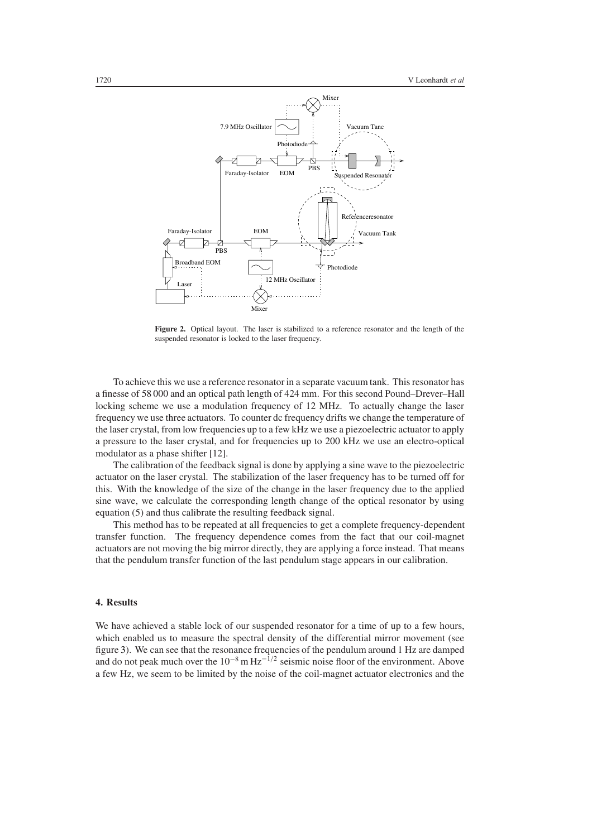

<span id="page-3-0"></span>Figure 2. Optical layout. The laser is stabilized to a reference resonator and the length of the suspended resonator is locked to the laser frequency.

To achieve this we use a reference resonator in a separate vacuum tank. This resonator has a finesse of 58 000 and an optical path length of 424 mm. For this second Pound–Drever–Hall locking scheme we use a modulation frequency of 12 MHz. To actually change the laser frequency we use three actuators. To counter dc frequency drifts we change the temperature of the laser crystal, from low frequencies up to a few kHz we use a piezoelectric actuator to apply a pressure to the laser crystal, and for frequencies up to 200 kHz we use an electro-optical modulator as a phase shifter [12].

The calibration of the feedback signal is done by applying a sine wave to the piezoelectric actuator on the laser crystal. The stabilization of the laser frequency has to be turned off for this. With the knowledge of the size of the change in the laser frequency due to the applied sine wave, we calculate the corresponding length change of the optical resonator by using equation (5) and thus calibrate the resulting feedback signal.

This method has to be repeated at all frequencies to get a complete frequency-dependent transfer function. The frequency dependence comes from the fact that our coil-magnet actuators are not moving the big mirror directly, they are applying a force instead. That means that the pendulum transfer function of the last pendulum stage appears in our calibration.

### **4. Results**

We have achieved a stable lock of our suspended resonator for a time of up to a few hours, which enabled us to measure the spectral density of the differential mirror movement (see figure [3\)](#page-4-0). We can see that the resonance frequencies of the pendulum around 1 Hz are damped and do not peak much over the  $10^{-8}$  m  $\text{Hz}^{-1/2}$  seismic noise floor of the environment. Above a few Hz, we seem to be limited by the noise of the coil-magnet actuator electronics and the